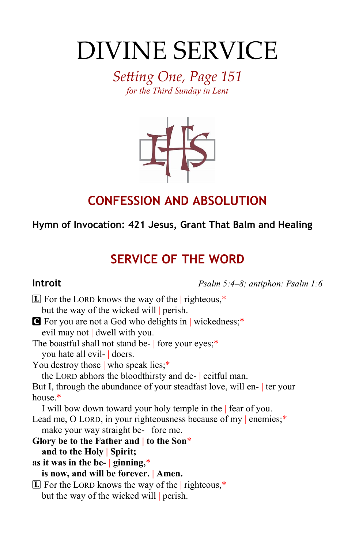# DIVINE SERVICE

*Setting One, Page 151 for the Third Sunday in Lent*



## **CONFESSION AND ABSOLUTION**

### **Hymn of Invocation: 421 Jesus, Grant That Balm and Healing**

# **SERVICE OF THE WORD**

**Introit** *Psalm 5:4–8; antiphon: Psalm 1:6*

| $\boxed{\mathbf{L}}$ For the LORD knows the way of the righteous,*     |
|------------------------------------------------------------------------|
| but the way of the wicked will perish.                                 |
| <b>G</b> For you are not a God who delights in wickedness;*            |
| evil may not dwell with you.                                           |
| The boastful shall not stand be- fore your eyes;*                      |
| you hate all evil- doers.                                              |
| You destroy those $\vert$ who speak lies;*                             |
| the LORD abhors the bloodthirsty and de- ceitful man.                  |
| But I, through the abundance of your steadfast love, will en- ter your |
| house. $*$                                                             |
| I will bow down toward your holy temple in the   fear of you.          |
| Lead me, O LORD, in your righteousness because of my   enemies;*       |
| make your way straight be- fore me.                                    |
| Glory be to the Father and $\vert$ to the Son*                         |
| and to the Holy Spirit;                                                |
| as it was in the be- $ $ ginning,*                                     |
| is now, and will be forever.   Amen.                                   |
| $\mathbb{E}$ For the LORD knows the way of the righteous,*             |
| but the way of the wicked will perish.                                 |